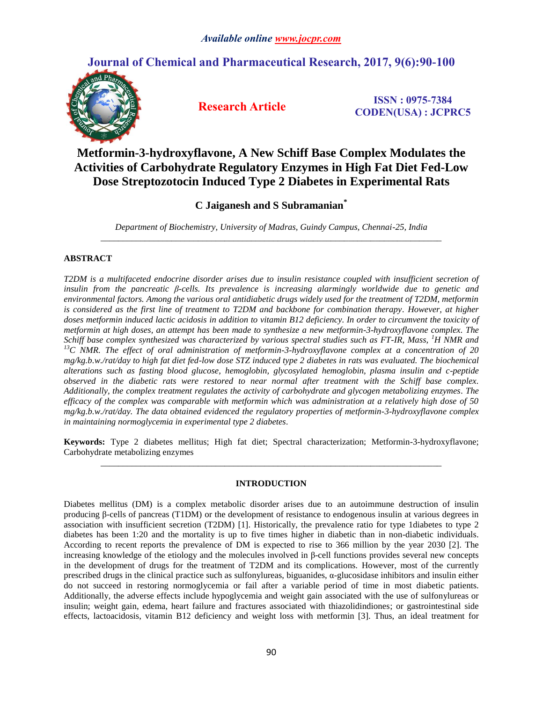## **Journal of Chemical and Pharmaceutical Research, 2017, 9(6):90-100**



**Research Article ISSN : 0975-7384 CODEN(USA) : JCPRC5**

# **Metformin-3-hydroxyflavone, A New Schiff Base Complex Modulates the Activities of Carbohydrate Regulatory Enzymes in High Fat Diet Fed-Low Dose Streptozotocin Induced Type 2 Diabetes in Experimental Rats**

## **C Jaiganesh and S Subramanian\***

*Department of Biochemistry, University of Madras, Guindy Campus, Chennai-25, India \_\_\_\_\_\_\_\_\_\_\_\_\_\_\_\_\_\_\_\_\_\_\_\_\_\_\_\_\_\_\_\_\_\_\_\_\_\_\_\_\_\_\_\_\_\_\_\_\_\_\_\_\_\_\_\_\_\_\_\_\_\_\_\_\_\_\_\_\_\_\_\_\_\_\_\_\_*

## **ABSTRACT**

*T2DM is a multifaceted endocrine disorder arises due to insulin resistance coupled with insufficient secretion of insulin from the pancreatic β-cells. Its prevalence is increasing alarmingly worldwide due to genetic and environmental factors. Among the various oral antidiabetic drugs widely used for the treatment of T2DM, metformin is considered as the first line of treatment to T2DM and backbone for combination therapy. However, at higher doses metformin induced lactic acidosis in addition to vitamin B12 deficiency. In order to circumvent the toxicity of metformin at high doses, an attempt has been made to synthesize a new metformin-3-hydroxyflavone complex. The Schiff base complex synthesized was characterized by various spectral studies such as FT-IR, Mass, <sup>1</sup>H NMR and <sup>13</sup>C NMR. The effect of oral administration of metformin-3-hydroxyflavone complex at a concentration of 20 mg/kg.b.w./rat/day to high fat diet fed-low dose STZ induced type 2 diabetes in rats was evaluated. The biochemical alterations such as fasting blood glucose, hemoglobin, glycosylated hemoglobin, plasma insulin and c-peptide observed in the diabetic rats were restored to near normal after treatment with the Schiff base complex. Additionally, the complex treatment regulates the activity of carbohydrate and glycogen metabolizing enzymes. The efficacy of the complex was comparable with metformin which was administration at a relatively high dose of 50 mg/kg.b.w./rat/day. The data obtained evidenced the regulatory properties of metformin-3-hydroxyflavone complex in maintaining normoglycemia in experimental type 2 diabetes.*

**Keywords:** Type 2 diabetes mellitus; High fat diet; Spectral characterization; Metformin-3-hydroxyflavone; Carbohydrate metabolizing enzymes *\_\_\_\_\_\_\_\_\_\_\_\_\_\_\_\_\_\_\_\_\_\_\_\_\_\_\_\_\_\_\_\_\_\_\_\_\_\_\_\_\_\_\_\_\_\_\_\_\_\_\_\_\_\_\_\_\_\_\_\_\_\_\_\_\_\_\_\_\_\_\_\_\_\_\_\_\_*

## **INTRODUCTION**

Diabetes mellitus (DM) is a complex metabolic disorder arises due to an autoimmune destruction of insulin producing β-cells of pancreas (T1DM) or the development of resistance to endogenous insulin at various degrees in association with insufficient secretion (T2DM) [1]. Historically, the prevalence ratio for type 1diabetes to type 2 diabetes has been 1:20 and the mortality is up to five times higher in diabetic than in non-diabetic individuals. According to recent reports the prevalence of DM is expected to rise to 366 million by the year 2030 [2]. The increasing knowledge of the etiology and the molecules involved in β-cell functions provides several new concepts in the development of drugs for the treatment of T2DM and its complications. However, most of the currently prescribed drugs in the clinical practice such as sulfonylureas, biguanides, α-glucosidase inhibitors and insulin either do not succeed in restoring normoglycemia or fail after a variable period of time in most diabetic patients. Additionally, the adverse effects include hypoglycemia and weight gain associated with the use of sulfonylureas or insulin; weight gain, edema, heart failure and fractures associated with thiazolidindiones; or gastrointestinal side effects, lactoacidosis, vitamin B12 deficiency and weight loss with metformin [3]. Thus, an ideal treatment for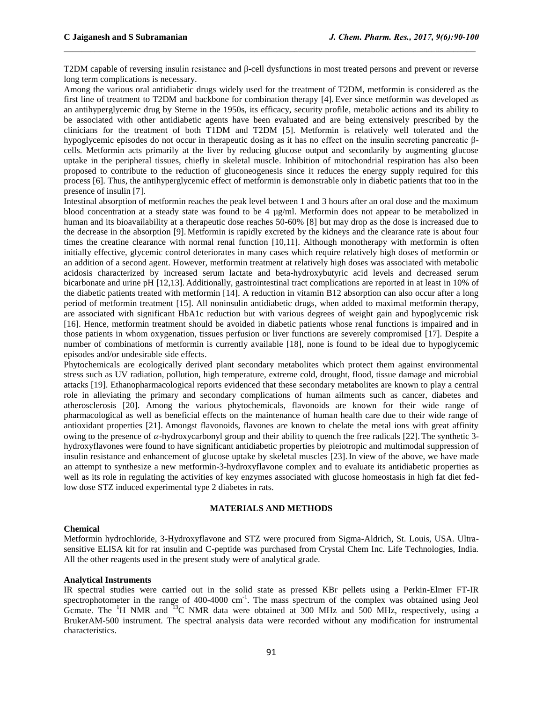T2DM capable of reversing insulin resistance and β-cell dysfunctions in most treated persons and prevent or reverse long term complications is necessary.

 $\mathcal{L}_\mathcal{L} = \mathcal{L}_\mathcal{L}$ 

Among the various oral antidiabetic drugs widely used for the treatment of T2DM, metformin is considered as the first line of treatment to T2DM and backbone for combination therapy [4]. Ever since metformin was developed as an antihyperglycemic drug by Sterne in the 1950s, its efficacy, security profile, metabolic actions and its ability to be associated with other antidiabetic agents have been evaluated and are being extensively prescribed by the clinicians for the treatment of both T1DM and T2DM [5]. Metformin is relatively well tolerated and the hypoglycemic episodes do not occur in therapeutic dosing as it has no effect on the insulin secreting pancreatic βcells. Metformin acts primarily at the liver by reducing glucose output and secondarily by augmenting glucose uptake in the peripheral tissues, chiefly in skeletal muscle. Inhibition of mitochondrial respiration has also been proposed to contribute to the reduction of gluconeogenesis since it reduces the energy supply required for this process [6]. Thus, the antihyperglycemic effect of metformin is demonstrable only in diabetic patients that too in the presence of insulin [7].

Intestinal absorption of metformin reaches the peak level between 1 and 3 hours after an oral dose and the maximum blood concentration at a steady state was found to be 4 µg/ml. Metformin does not appear to be metabolized in human and its bioavailability at a therapeutic dose reaches 50-60% [8] but may drop as the dose is increased due to the decrease in the absorption [9]. Metformin is rapidly excreted by the kidneys and the clearance rate is about four times the creatine clearance with normal renal function [10,11]. Although monotherapy with metformin is often initially effective, glycemic control deteriorates in many cases which require relatively high doses of metformin or an addition of a second agent. However, metformin treatment at relatively high doses was associated with metabolic acidosis characterized by increased serum lactate and beta-hydroxybutyric acid levels and decreased serum bicarbonate and urine pH [12,13]. Additionally, gastrointestinal tract complications are reported in at least in 10% of the diabetic patients treated with metformin [14]. A reduction in vitamin B12 absorption can also occur after a long period of metformin treatment [15]. All noninsulin antidiabetic drugs, when added to maximal metformin therapy, are associated with significant HbA1c reduction but with various degrees of weight gain and hypoglycemic risk [16]. Hence, metformin treatment should be avoided in diabetic patients whose renal functions is impaired and in those patients in whom oxygenation, tissues perfusion or liver functions are severely compromised [17]. Despite a number of combinations of metformin is currently available [18], none is found to be ideal due to hypoglycemic episodes and/or undesirable side effects.

Phytochemicals are ecologically derived plant secondary metabolites which protect them against environmental stress such as UV radiation, pollution, high temperature, extreme cold, drought, flood, tissue damage and microbial attacks [19]. Ethanopharmacological reports evidenced that these secondary metabolites are known to play a central role in alleviating the primary and secondary complications of human ailments such as cancer, diabetes and atherosclerosis [20]. Among the various phytochemicals, flavonoids are known for their wide range of pharmacological as well as beneficial effects on the maintenance of human health care due to their wide range of antioxidant properties [21]. Amongst flavonoids, flavones are known to chelate the metal ions with great affinity owing to the presence of  $\alpha$ -hydroxycarbonyl group and their ability to quench the free radicals [22]. The synthetic 3hydroxyflavones were found to have significant antidiabetic properties by pleiotropic and multimodal suppression of insulin resistance and enhancement of glucose uptake by skeletal muscles [23].In view of the above, we have made an attempt to synthesize a new metformin-3-hydroxyflavone complex and to evaluate its antidiabetic properties as well as its role in regulating the activities of key enzymes associated with glucose homeostasis in high fat diet fedlow dose STZ induced experimental type 2 diabetes in rats.

#### **MATERIALS AND METHODS**

#### **Chemical**

Metformin hydrochloride, 3-Hydroxyflavone and STZ were procured from Sigma-Aldrich, St. Louis, USA. Ultrasensitive ELISA kit for rat insulin and C-peptide was purchased from Crystal Chem Inc. Life Technologies, India. All the other reagents used in the present study were of analytical grade.

#### **Analytical Instruments**

IR spectral studies were carried out in the solid state as pressed KBr pellets using a Perkin-Elmer FT-IR spectrophotometer in the range of 400-4000 cm<sup>-1</sup>. The mass spectrum of the complex was obtained using Jeol Gcmate. The <sup>1</sup>H NMR and <sup>13</sup>C NMR data were obtained at 300 MHz and 500 MHz, respectively, using a BrukerAM-500 instrument. The spectral analysis data were recorded without any modification for instrumental characteristics.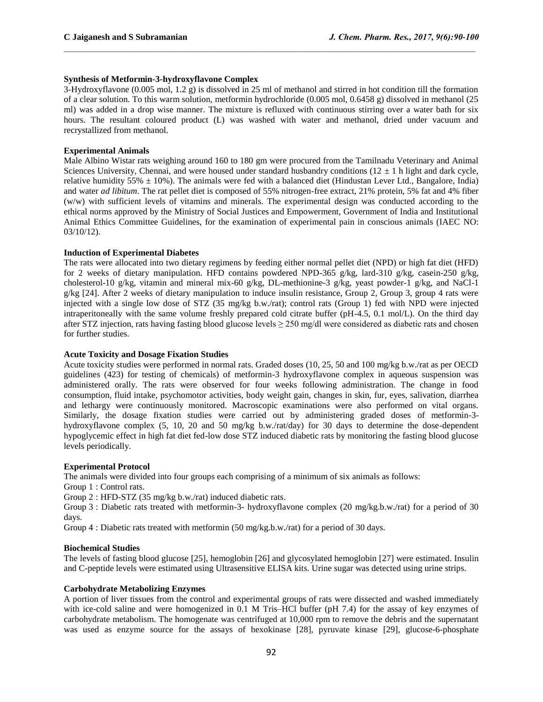## **Synthesis of Metformin-3-hydroxyflavone Complex**

3-Hydroxyflavone (0.005 mol, 1.2 g) is dissolved in 25 ml of methanol and stirred in hot condition till the formation of a clear solution. To this warm solution, metformin hydrochloride (0.005 mol, 0.6458 g) dissolved in methanol (25 ml) was added in a drop wise manner. The mixture is refluxed with continuous stirring over a water bath for six hours. The resultant coloured product (L) was washed with water and methanol, dried under vacuum and recrystallized from methanol.

 $\mathcal{L}_\mathcal{L} = \mathcal{L}_\mathcal{L}$ 

### **Experimental Animals**

Male Albino Wistar rats weighing around 160 to 180 gm were procured from the Tamilnadu Veterinary and Animal Sciences University, Chennai, and were housed under standard husbandry conditions ( $12 \pm 1$  h light and dark cycle, relative humidity  $55\% \pm 10\%$ ). The animals were fed with a balanced diet (Hindustan Lever Ltd., Bangalore, India) and water *ad libitum*. The rat pellet diet is composed of 55% nitrogen-free extract, 21% protein, 5% fat and 4% fiber (w/w) with sufficient levels of vitamins and minerals. The experimental design was conducted according to the ethical norms approved by the Ministry of Social Justices and Empowerment, Government of India and Institutional Animal Ethics Committee Guidelines, for the examination of experimental pain in conscious animals (IAEC NO: 03/10/12).

#### **Induction of Experimental Diabetes**

The rats were allocated into two dietary regimens by feeding either normal pellet diet (NPD) or high fat diet (HFD) for 2 weeks of dietary manipulation. HFD contains powdered NPD-365 g/kg, lard-310 g/kg, casein-250 g/kg, cholesterol-10 g/kg, vitamin and mineral mix-60 g/kg, DL-methionine-3 g/kg, yeast powder-1 g/kg, and NaCl-1 g/kg [24]. After 2 weeks of dietary manipulation to induce insulin resistance, Group 2, Group 3, group 4 rats were injected with a single low dose of STZ (35 mg/kg b.w./rat); control rats (Group 1) fed with NPD were injected intraperitoneally with the same volume freshly prepared cold citrate buffer (pH-4.5, 0.1 mol/L). On the third day after STZ injection, rats having fasting blood glucose levels  $\geq$  250 mg/dl were considered as diabetic rats and chosen for further studies.

#### **Acute Toxicity and Dosage Fixation Studies**

Acute toxicity studies were performed in normal rats. Graded doses (10, 25, 50 and 100 mg/kg b.w./rat as per OECD guidelines (423) for testing of chemicals) of metformin-3 hydroxyflavone complex in aqueous suspension was administered orally. The rats were observed for four weeks following administration. The change in food consumption, fluid intake, psychomotor activities, body weight gain, changes in skin, fur, eyes, salivation, diarrhea and lethargy were continuously monitored. Macroscopic examinations were also performed on vital organs. Similarly, the dosage fixation studies were carried out by administering graded doses of metformin-3 hydroxyflavone complex (5, 10, 20 and 50 mg/kg b.w./rat/day) for 30 days to determine the dose-dependent hypoglycemic effect in high fat diet fed-low dose STZ induced diabetic rats by monitoring the fasting blood glucose levels periodically.

#### **Experimental Protocol**

The animals were divided into four groups each comprising of a minimum of six animals as follows:

Group 1 : Control rats.

Group 2 : HFD-STZ (35 mg/kg b.w./rat) induced diabetic rats.

Group 3 : Diabetic rats treated with metformin-3- hydroxyflavone complex (20 mg/kg.b.w./rat) for a period of 30 days.

Group 4 : Diabetic rats treated with metformin (50 mg/kg.b.w./rat) for a period of 30 days.

#### **Biochemical Studies**

The levels of fasting blood glucose [25], hemoglobin [26] and glycosylated hemoglobin [27] were estimated. Insulin and C-peptide levels were estimated using Ultrasensitive ELISA kits. Urine sugar was detected using urine strips.

#### **Carbohydrate Metabolizing Enzymes**

A portion of liver tissues from the control and experimental groups of rats were dissected and washed immediately with ice-cold saline and were homogenized in 0.1 M Tris–HCl buffer (pH 7.4) for the assay of key enzymes of carbohydrate metabolism. The homogenate was centrifuged at 10,000 rpm to remove the debris and the supernatant was used as enzyme source for the assays of hexokinase [28], pyruvate kinase [29], glucose-6-phosphate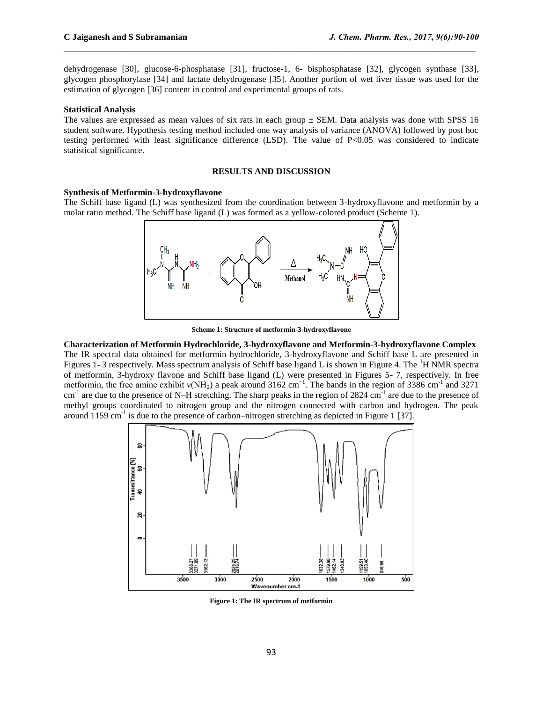dehydrogenase [30], glucose-6-phosphatase [31], fructose-1, 6- bisphosphatase [32], glycogen synthase [33], glycogen phosphorylase [34] and lactate dehydrogenase [35]. Another portion of wet liver tissue was used for the estimation of glycogen [36] content in control and experimental groups of rats.

 $\mathcal{L}_\mathcal{L} = \mathcal{L}_\mathcal{L}$ 

#### **Statistical Analysis**

The values are expressed as mean values of six rats in each group  $\pm$  SEM. Data analysis was done with SPSS 16 student software. Hypothesis testing method included one way analysis of variance (ANOVA) followed by post hoc testing performed with least significance difference (LSD). The value of P<0.05 was considered to indicate statistical significance.

## **RESULTS AND DISCUSSION**

#### **Synthesis of Metformin-3-hydroxyflavone**

The Schiff base ligand (L) was synthesized from the coordination between 3-hydroxyflavone and metformin by a molar ratio method. The Schiff base ligand (L) was formed as a yellow-colored product (Scheme 1).



**Scheme 1: Structure of metformin-3-hydroxyflavone**

**Characterization of Metformin Hydrochloride, 3-hydroxyflavone and Metformin-3-hydroxyflavone Complex** The IR spectral data obtained for metformin hydrochloride, 3-hydroxyflavone and Schiff base L are presented in Figures 1- 3 respectively. Mass spectrum analysis of Schiff base ligand L is shown in Figure 4. The <sup>1</sup>H NMR spectra of metformin, 3-hydroxy flavone and Schiff base ligand (L) were presented in Figures 5- 7, respectively. In free metformin, the free amine exhibit v(NH<sub>2</sub>) a peak around 3162 cm<sup>-1</sup>. The bands in the region of 3386 cm<sup>-1</sup> and 3271  $cm^{-1}$  are due to the presence of N–H stretching. The sharp peaks in the region of 2824  $cm^{-1}$  are due to the presence of methyl groups coordinated to nitrogen group and the nitrogen connected with carbon and hydrogen. The peak around 1159 cm<sup>-1</sup> is due to the presence of carbon–nitrogen stretching as depicted in Figure 1 [37].



**Figure 1: The IR spectrum of metformin**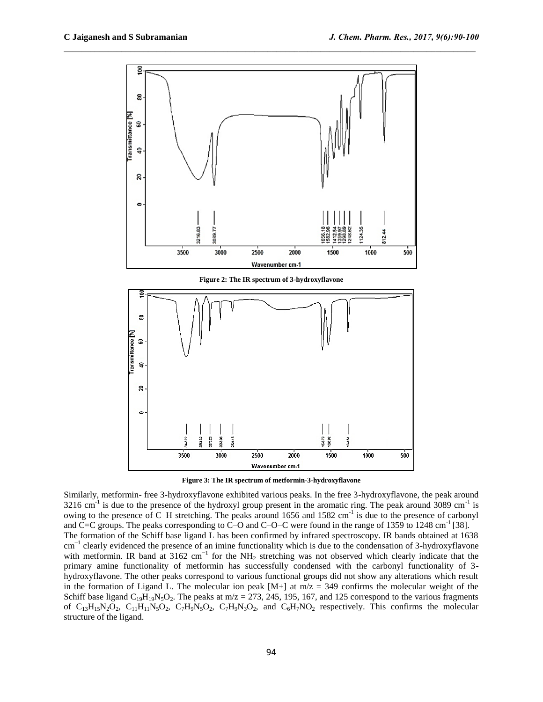

 $\mathcal{L}_\mathcal{L} = \mathcal{L}_\mathcal{L}$ 



Similarly, metformin- free 3-hydroxyflavone exhibited various peaks. In the free 3-hydroxyflavone, the peak around  $3216 \text{ cm}^{-1}$  is due to the presence of the hydroxyl group present in the aromatic ring. The peak around  $3089 \text{ cm}^{-1}$  is owing to the presence of C–H stretching. The peaks around 1656 and 1582 cm<sup>-1</sup> is due to the presence of carbonyl and C=C groups. The peaks corresponding to C–O and C–O–C were found in the range of 1359 to 1248 cm<sup>-1</sup> [38]. The formation of the Schiff base ligand L has been confirmed by infrared spectroscopy. IR bands obtained at 1638 cm<sup>-1</sup> clearly evidenced the presence of an imine functionality which is due to the condensation of 3-hydroxyflavone with metformin. IR band at 3162 cm<sup>-1</sup> for the NH<sub>2</sub> stretching was not observed which clearly indicate that the primary amine functionality of metformin has successfully condensed with the carbonyl functionality of 3 hydroxyflavone. The other peaks correspond to various functional groups did not show any alterations which result in the formation of Ligand L. The molecular ion peak  $[M+]$  at m/z = 349 confirms the molecular weight of the Schiff base ligand C<sub>19</sub>H<sub>19</sub>N<sub>5</sub>O<sub>2</sub>. The peaks at m/z = 273, 245, 195, 167, and 125 correspond to the various fragments of  $C_{13}H_{15}N_2O_2$ ,  $C_{11}H_{11}N_5O_2$ ,  $C_7H_9N_3O_2$ ,  $C_7H_9N_3O_2$ , and  $C_6H_7NO_2$  respectively. This confirms the molecular structure of the ligand.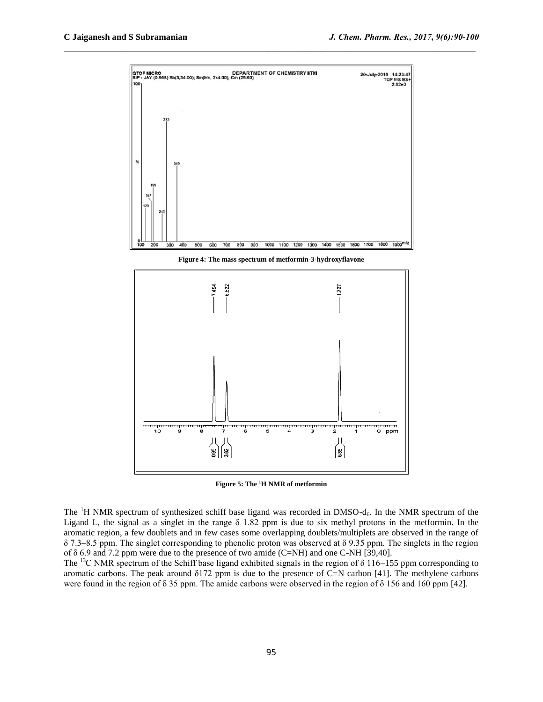

 $\mathcal{L}_\mathcal{L} = \mathcal{L}_\mathcal{L}$ 

**Figure 4: The mass spectrum of metformin-3-hydroxyflavone**



**Figure 5: The <sup>1</sup>H NMR of metformin**

The <sup>1</sup>H NMR spectrum of synthesized schiff base ligand was recorded in DMSO-d<sub>6</sub>. In the NMR spectrum of the Ligand L, the signal as a singlet in the range  $\delta$  1.82 ppm is due to six methyl protons in the metformin. In the aromatic region, a few doublets and in few cases some overlapping doublets/multiplets are observed in the range of δ 7.3–8.5 ppm. The singlet corresponding to phenolic proton was observed at δ 9.35 ppm. The singlets in the region of δ 6.9 and 7.2 ppm were due to the presence of two amide (C=NH) and one C-NH [39,40].

The <sup>13</sup>C NMR spectrum of the Schiff base ligand exhibited signals in the region of  $\delta$  116–155 ppm corresponding to aromatic carbons. The peak around δ172 ppm is due to the presence of C=N carbon [41]. The methylene carbons were found in the region of δ 35 ppm. The amide carbons were observed in the region of δ 156 and 160 ppm [42].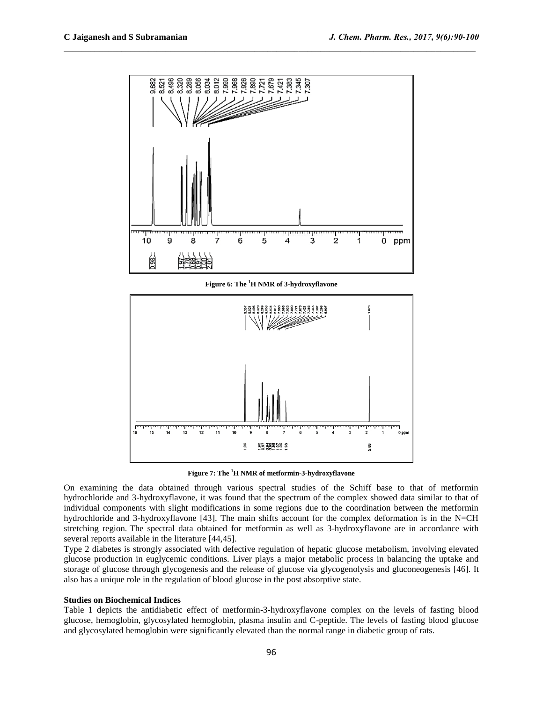

 $\mathcal{L}_\mathcal{L} = \mathcal{L}_\mathcal{L}$ 

**Figure 6: The <sup>1</sup>H NMR of 3-hydroxyflavone**



**Figure 7: The <sup>1</sup>H NMR of metformin-3-hydroxyflavone**

On examining the data obtained through various spectral studies of the Schiff base to that of metformin hydrochloride and 3-hydroxyflavone, it was found that the spectrum of the complex showed data similar to that of individual components with slight modifications in some regions due to the coordination between the metformin hydrochloride and 3-hydroxyflavone [43]. The main shifts account for the complex deformation is in the N=CH stretching region. The spectral data obtained for metformin as well as 3-hydroxyflavone are in accordance with several reports available in the literature [44,45].

Type 2 diabetes is strongly associated with defective regulation of hepatic glucose metabolism, involving elevated glucose production in euglycemic conditions. Liver plays a major metabolic process in balancing the uptake and storage of glucose through glycogenesis and the release of glucose via glycogenolysis and gluconeogenesis [46]. It also has a unique role in the regulation of blood glucose in the post absorptive state.

## **Studies on Biochemical Indices**

Table 1 depicts the antidiabetic effect of metformin-3-hydroxyflavone complex on the levels of fasting blood glucose, hemoglobin, glycosylated hemoglobin, plasma insulin and C-peptide. The levels of fasting blood glucose and glycosylated hemoglobin were significantly elevated than the normal range in diabetic group of rats.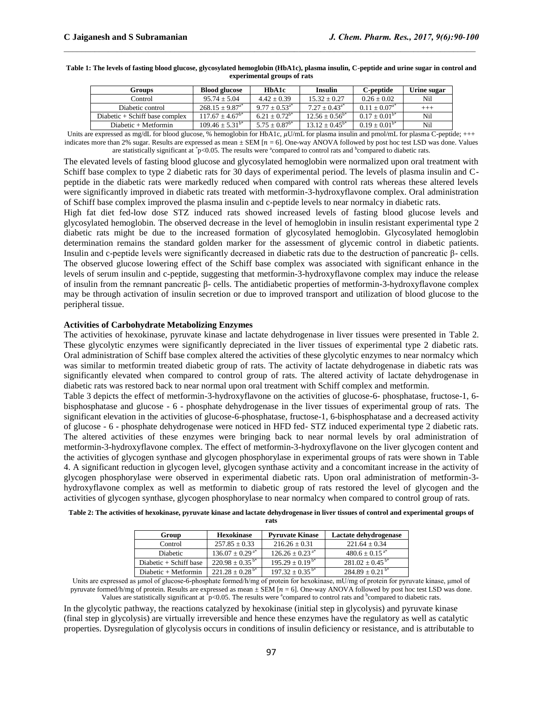#### **Table 1: The levels of fasting blood glucose, glycosylated hemoglobin (HbA1c), plasma insulin, C-peptide and urine sugar in control and experimental groups of rats**

 $\mathcal{L}_\mathcal{L} = \mathcal{L}_\mathcal{L}$ 

| Groups                           | <b>Blood glucose</b> | HbA1c              | <b>Insulin</b>      | C-peptide          | Urine sugar |
|----------------------------------|----------------------|--------------------|---------------------|--------------------|-------------|
| Control                          | $95.74 + 5.04$       | $4.42 + 0.39$      | $15.32 + 0.27$      | $0.26 + 0.02$      | Nil         |
| Diabetic control                 | $268.15 + 9.87^{a*}$ | $9.77 + 0.53^{a*}$ | $7.27 + 0.43^{a*}$  | $0.11 + 0.07^{a*}$ | $^{+++}$    |
| Diabetic $+$ Schiff base complex | $117.67 + 4.67^{b*}$ | $6.21 + 0.72^{b*}$ | $12.56 + 0.56^{b*}$ | $0.17 + 0.01^{b*}$ | Nil         |
| $Diabetic + Metformin$           | $109.46 + 5.31^{b*}$ | $5.75 + 0.87^{b*}$ | $13.12 + 0.45^{b*}$ | $0.19 + 0.01^{b*}$ | Nil         |

Units are expressed as mg/dL for blood glucose, % hemoglobin for HbA1c, uU/mL for plasma insulin and pmol/mL for plasma C-peptide; +++ indicates more than 2% sugar. Results are expressed as mean  $\pm$  SEM [ $n = 6$ ]. One-way ANOVA followed by post hoc test LSD was done. Values are statistically significant at  $\bar{p}$ <0.05. The results were <sup>a</sup>compared to control rats and <sup>b</sup>compared to diabetic rats.

The elevated levels of fasting blood glucose and glycosylated hemoglobin were normalized upon oral treatment with Schiff base complex to type 2 diabetic rats for 30 days of experimental period. The levels of plasma insulin and Cpeptide in the diabetic rats were markedly reduced when compared with control rats whereas these altered levels were significantly improved in diabetic rats treated with metformin-3-hydroxyflavone complex. Oral administration of Schiff base complex improved the plasma insulin and c-peptide levels to near normalcy in diabetic rats.

High fat diet fed-low dose STZ induced rats showed increased levels of fasting blood glucose levels and glycosylated hemoglobin. The observed decrease in the level of hemoglobin in insulin resistant experimental type 2 diabetic rats might be due to the increased formation of glycosylated hemoglobin. Glycosylated hemoglobin determination remains the standard golden marker for the assessment of glycemic control in diabetic patients. Insulin and c-peptide levels were significantly decreased in diabetic rats due to the destruction of pancreatic β- cells. The observed glucose lowering effect of the Schiff base complex was associated with significant enhance in the levels of serum insulin and c-peptide, suggesting that metformin-3-hydroxyflavone complex may induce the release of insulin from the remnant pancreatic β- cells. The antidiabetic properties of metformin-3-hydroxyflavone complex may be through activation of insulin secretion or due to improved transport and utilization of blood glucose to the peripheral tissue.

#### **Activities of Carbohydrate Metabolizing Enzymes**

The activities of hexokinase, pyruvate kinase and lactate dehydrogenase in liver tissues were presented in Table 2. These glycolytic enzymes were significantly depreciated in the liver tissues of experimental type 2 diabetic rats. Oral administration of Schiff base complex altered the activities of these glycolytic enzymes to near normalcy which was similar to metformin treated diabetic group of rats. The activity of lactate dehydrogenase in diabetic rats was significantly elevated when compared to control group of rats. The altered activity of lactate dehydrogenase in diabetic rats was restored back to near normal upon oral treatment with Schiff complex and metformin.

Table 3 depicts the effect of metformin-3-hydroxyflavone on the activities of glucose-6- phosphatase, fructose-1, 6 bisphosphatase and glucose - 6 - phosphate dehydrogenase in the liver tissues of experimental group of rats. The significant elevation in the activities of glucose-6-phosphatase, fructose-1, 6-bisphosphatase and a decreased activity of glucose - 6 - phosphate dehydrogenase were noticed in HFD fed- STZ induced experimental type 2 diabetic rats. The altered activities of these enzymes were bringing back to near normal levels by oral administration of metformin-3-hydroxyflavone complex. The effect of metformin-3-hydroxyflavone on the liver glycogen content and the activities of glycogen synthase and glycogen phosphorylase in experimental groups of rats were shown in Table 4. A significant reduction in glycogen level, glycogen synthase activity and a concomitant increase in the activity of glycogen phosphorylase were observed in experimental diabetic rats. Upon oral administration of metformin-3 hydroxyflavone complex as well as metformin to diabetic group of rats restored the level of glycogen and the activities of glycogen synthase, glycogen phosphorylase to near normalcy when compared to control group of rats.

| Table 2: The activities of hexokinase, pyruvate kinase and lactate dehydrogenase in liver tissues of control and experimental groups of |  |  |
|-----------------------------------------------------------------------------------------------------------------------------------------|--|--|
|                                                                                                                                         |  |  |

**rats**

| Group                    | <b>Hexokinase</b>               | <b>Pyruvate Kinase</b>          | Lactate dehydrogenase          |
|--------------------------|---------------------------------|---------------------------------|--------------------------------|
| Control                  | $257.85 + 0.33$                 | $216.26 + 0.31$                 | $221.64 + 0.34$                |
| <b>Diabetic</b>          | $136.07 \pm 0.29$ <sup>a*</sup> | $126.26 \pm 0.23$ <sup>a*</sup> | $480.6 \pm 0.15$ <sup>a*</sup> |
| Diabetic $+$ Schiff base | $220.98 \pm 0.35^{b*}$          | $195.29 + 0.19^{b*}$            | $281.02 + 0.45^{b*}$           |
| Diabetic + Metformin     | $221.28 + 0.28$ <sup>b*</sup>   | $197.32 + 0.35^{b*}$            | $284.89 + 0.21^{b*}$           |

Units are expressed as μmol of glucose-6-phosphate formed/h/mg of protein for hexokinase, mU/mg of protein for pyruvate kinase, μmol of pyruvate formed/h/mg of protein. Results are expressed as mean  $\pm$  SEM [ $n = 6$ ]. One-way ANOVA followed by post hoc test LSD was done. Values are statistically significant at  $\bar{p}$  < 0.05. The results were <sup>a</sup>compared to control rats and <sup>b</sup>compared to diabetic rats.

In the glycolytic pathway, the reactions catalyzed by hexokinase (initial step in glycolysis) and pyruvate kinase (final step in glycolysis) are virtually irreversible and hence these enzymes have the regulatory as well as catalytic properties. Dysregulation of glycolysis occurs in conditions of insulin deficiency or resistance, and is attributable to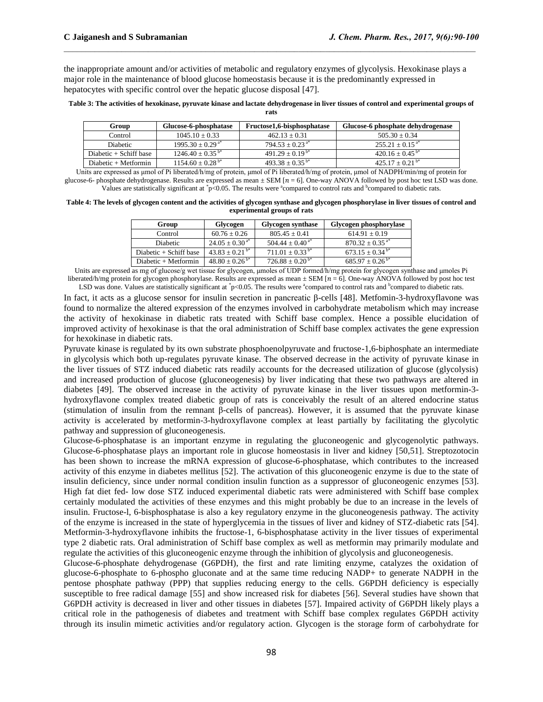the inappropriate amount and/or activities of metabolic and regulatory enzymes of glycolysis. Hexokinase plays a major role in the maintenance of blood glucose homeostasis because it is the predominantly expressed in hepatocytes with specific control over the hepatic glucose disposal [47].

 $\mathcal{L}_\mathcal{L} = \mathcal{L}_\mathcal{L}$ 

| Table 3: The activities of hexokinase, pyruvate kinase and lactate dehydrogenase in liver tissues of control and experimental groups of |  |
|-----------------------------------------------------------------------------------------------------------------------------------------|--|
| rats                                                                                                                                    |  |

| Group                    | Glucose-6-phosphatase            | Fructose1.6-bisphosphatase | Glucose-6 phosphate dehydrogenase |
|--------------------------|----------------------------------|----------------------------|-----------------------------------|
| Control                  | $1045.10 + 0.33$                 | $462.13 + 0.31$            | $505.30 + 0.34$                   |
| <b>Diabetic</b>          | $1995.30 \pm 0.29$ <sup>a*</sup> | $794.53 + 0.23^{a*}$       | $255.21 + 0.15^{a*}$              |
| Diabetic $+$ Schiff base | $1246.40 + 0.35^{b*}$            | $491.29 + 0.19^{b*}$       | $420.16 + 0.45^{b*}$              |
| $Diabetic + Metformin$   | $1154.60 \pm 0.28$ <sup>b*</sup> | $493.38 + 0.35^{b*}$       | $425.17 + 0.21^{b*}$              |

Units are expressed as μmol of Pi liberated/h/mg of protein, μmol of Pi liberated/h/mg of protein, μmol of NADPH/min/mg of protein for glucose-6- phosphate dehydrogenase. Results are expressed as mean  $\pm$  SEM [ $n = 6$ ]. One-way ANOVA followed by post hoc test LSD was done. Values are statistically significant at \*p<0.05. The results were \*compared to control rats and \*compared to diabetic rats.

**Table 4: The levels of glycogen content and the activities of glycogen synthase and glycogen phosphorylase in liver tissues of control and experimental groups of rats**

| Group                    | Glycogen                       | <b>Glycogen synthase</b>      | Glycogen phosphorylase          |
|--------------------------|--------------------------------|-------------------------------|---------------------------------|
| Control                  | $60.76 + 0.26$                 | $805.45 + 0.41$               | $614.91 + 0.19$                 |
| Diabetic                 | $24.05 \pm 0.30^{a*}$          | $504.44 \pm 0.40^{\text{a*}}$ | $870.32 \pm 0.35$ <sup>a*</sup> |
| Diabetic $+$ Schiff base | $43.83 + 0.21^{b*}$            | $711.01 + 0.33^{b*}$          | $673.15 \pm 0.34$ <sup>b*</sup> |
| $Diabetic + Metformin$   | $48.80 \pm 0.26^{\mathrm{b*}}$ | $726.88 \pm 0.20^{b*}$        | $685.97 \pm 0.26^{\mathrm{b*}}$ |

Units are expressed as mg of glucose/g wet tissue for glycogen, umoles of UDP formed/h/mg protein for glycogen synthase and umoles Pi liberated/h/mg protein for glycogen phosphorylase. Results are expressed as mean  $\pm$  SEM [ $n = 6$ ]. One-way ANOVA followed by post hoc test LSD was done. Values are statistically significant at  $\degree$ p<0.05. The results were  $\degree$ compared to control rats and  $\degree$ compared to diabetic rats.

In fact, it acts as a glucose sensor for insulin secretion in pancreatic β-cells [48]. Metfomin-3-hydroxyflavone was found to normalize the altered expression of the enzymes involved in carbohydrate metabolism which may increase the activity of hexokinase in diabetic rats treated with Schiff base complex. Hence a possible elucidation of improved activity of hexokinase is that the oral administration of Schiff base complex activates the gene expression for hexokinase in diabetic rats.

Pyruvate kinase is regulated by its own substrate phosphoenolpyruvate and fructose-1,6-biphosphate an intermediate in glycolysis which both up-regulates pyruvate kinase. The observed decrease in the activity of pyruvate kinase in the liver tissues of STZ induced diabetic rats readily accounts for the decreased utilization of glucose (glycolysis) and increased production of glucose (gluconeogenesis) by liver indicating that these two pathways are altered in diabetes [49]. The observed increase in the activity of pyruvate kinase in the liver tissues upon metformin-3 hydroxyflavone complex treated diabetic group of rats is conceivably the result of an altered endocrine status (stimulation of insulin from the remnant β-cells of pancreas). However, it is assumed that the pyruvate kinase activity is accelerated by metformin-3-hydroxyflavone complex at least partially by facilitating the glycolytic pathway and suppression of gluconeogenesis.

Glucose-6-phosphatase is an important enzyme in regulating the gluconeogenic and glycogenolytic pathways. Glucose-6-phosphatase plays an important role in glucose homeostasis in liver and kidney [50,51]. Streptozotocin has been shown to increase the mRNA expression of glucose-6-phosphatase, which contributes to the increased activity of this enzyme in diabetes mellitus [52]. The activation of this gluconeogenic enzyme is due to the state of insulin deficiency, since under normal condition insulin function as a suppressor of gluconeogenic enzymes [53]. High fat diet fed- low dose STZ induced experimental diabetic rats were administered with Schiff base complex certainly modulated the activities of these enzymes and this might probably be due to an increase in the levels of insulin. Fructose-l, 6-bisphosphatase is also a key regulatory enzyme in the gluconeogenesis pathway. The activity of the enzyme is increased in the state of hyperglycemia in the tissues of liver and kidney of STZ-diabetic rats [54]. Metformin-3-hydroxyflavone inhibits the fructose-1, 6-bisphosphatase activity in the liver tissues of experimental type 2 diabetic rats. Oral administration of Schiff base complex as well as metformin may primarily modulate and regulate the activities of this gluconeogenic enzyme through the inhibition of glycolysis and gluconeogenesis.

Glucose-6-phosphate dehydrogenase (G6PDH), the first and rate limiting enzyme, catalyzes the oxidation of glucose-6-phosphate to 6-phospho gluconate and at the same time reducing NADP+ to generate NADPH in the pentose phosphate pathway (PPP) that supplies reducing energy to the cells. G6PDH deficiency is especially susceptible to free radical damage [55] and show increased risk for diabetes [56]. Several studies have shown that G6PDH activity is decreased in liver and other tissues in diabetes [57]. Impaired activity of G6PDH likely plays a critical role in the pathogenesis of diabetes and treatment with Schiff base complex regulates G6PDH activity through its insulin mimetic activities and/or regulatory action. Glycogen is the storage form of carbohydrate for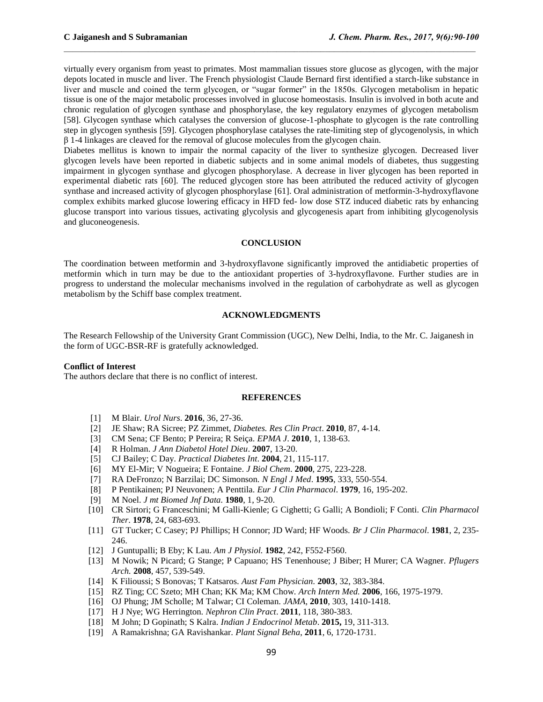virtually every organism from yeast to primates. Most mammalian tissues store glucose as glycogen, with the major depots located in muscle and liver. The French physiologist Claude Bernard first identified a starch-like substance in liver and muscle and coined the term glycogen, or "sugar former" in the 1850s. Glycogen metabolism in hepatic tissue is one of the major metabolic processes involved in glucose homeostasis. Insulin is involved in both acute and chronic regulation of glycogen synthase and phosphorylase, the key regulatory enzymes of glycogen metabolism [58]. Glycogen synthase which catalyses the conversion of glucose-1-phosphate to glycogen is the rate controlling step in glycogen synthesis [59]. Glycogen phosphorylase catalyses the rate-limiting step of glycogenolysis, in which  $β$  1-4 linkages are cleaved for the removal of glucose molecules from the glycogen chain.

 $\mathcal{L}_\mathcal{L} = \mathcal{L}_\mathcal{L}$ 

Diabetes mellitus is known to impair the normal capacity of the liver to synthesize glycogen. Decreased liver glycogen levels have been reported in diabetic subjects and in some animal models of diabetes, thus suggesting impairment in glycogen synthase and glycogen phosphorylase. A decrease in liver glycogen has been reported in experimental diabetic rats [60]. The reduced glycogen store has been attributed the reduced activity of glycogen synthase and increased activity of glycogen phosphorylase [61]. Oral administration of metformin-3-hydroxyflavone complex exhibits marked glucose lowering efficacy in HFD fed- low dose STZ induced diabetic rats by enhancing glucose transport into various tissues, activating glycolysis and glycogenesis apart from inhibiting glycogenolysis and gluconeogenesis.

#### **CONCLUSION**

The coordination between metformin and 3-hydroxyflavone significantly improved the antidiabetic properties of metformin which in turn may be due to the antioxidant properties of 3-hydroxyflavone. Further studies are in progress to understand the molecular mechanisms involved in the regulation of carbohydrate as well as glycogen metabolism by the Schiff base complex treatment.

#### **ACKNOWLEDGMENTS**

The Research Fellowship of the University Grant Commission (UGC), New Delhi, India, to the Mr. C. Jaiganesh in the form of UGC-BSR-RF is gratefully acknowledged.

#### **Conflict of Interest**

The authors declare that there is no conflict of interest.

#### **REFERENCES**

- [1] M Blair. *Urol Nurs*. **2016**, 36, 27-36.
- [2] JE Shaw; RA Sicree; PZ Zimmet, *Diabetes. Res Clin Pract*. **2010**, 87, 4-14.
- [3] CM Sena; CF Bento; P Pereira; R Seiça. *EPMA J*. **2010**, 1, 138-63.
- [4] R Holman. *J Ann Diabetol Hotel Dieu*. **2007**, 13-20.
- [5] CJ Bailey; C Day. *Practical Diabetes Int*. **2004**, 21, 115-117.
- [6] MY El-Mir; V Nogueira; E Fontaine. *J Biol Chem*. **2000**, 275, 223-228.
- [7] RA DeFronzo; N Barzilai; DC Simonson. *N Engl J Med*. **1995**, 333, 550-554.
- [8] P Pentikainen; PJ Neuvonen; A Penttila. *Eur J Clin Pharmacol*. **1979**, 16, 195-202.
- [9] M Noel. *J mt Biomed Jnf Data.* **1980**, 1, 9-20.
- [10] CR Sirtori; G Franceschini; M Galli-Kienle; G Cighetti; G Galli; A Bondioli; F Conti. *Clin Pharmacol Ther*. **1978**, 24, 683-693.
- [11] GT Tucker; C Casey; PJ Phillips; H Connor; JD Ward; HF Woods. *Br J Clin Pharmacol*. **1981**, 2, 235- 246.
- [12] J Guntupalli; B Eby; K Lau. *Am J Physiol.* **1982**, 242, F552-F560.
- [13] M Nowik; N Picard; G Stange; P Capuano; HS Tenenhouse; J Biber; H Murer; CA Wagner. *Pflugers Arch.* **2008**, 457, 539-549.
- [14] K Filioussi; S Bonovas; T Katsaros. *Aust Fam Physician.* **2003**, 32, 383-384.
- [15] RZ Ting; CC Szeto; MH Chan; KK Ma; KM Chow. *Arch Intern Med.* **2006**, 166, 1975-1979.
- [16] OJ Phung; JM Scholle; M Talwar; CI Coleman. *JAMA*, **2010**, 303, 1410-1418.
- [17] H J Nye; WG Herrington. *Nephron Clin Pract*. **2011**, 118, 380-383.
- [18] M John; D Gopinath; S Kalra. *Indian J Endocrinol Metab*. **2015,** 19, 311-313.
- [19] A Ramakrishna; GA Ravishankar. *Plant Signal Beha*, **2011**, 6, 1720-1731.